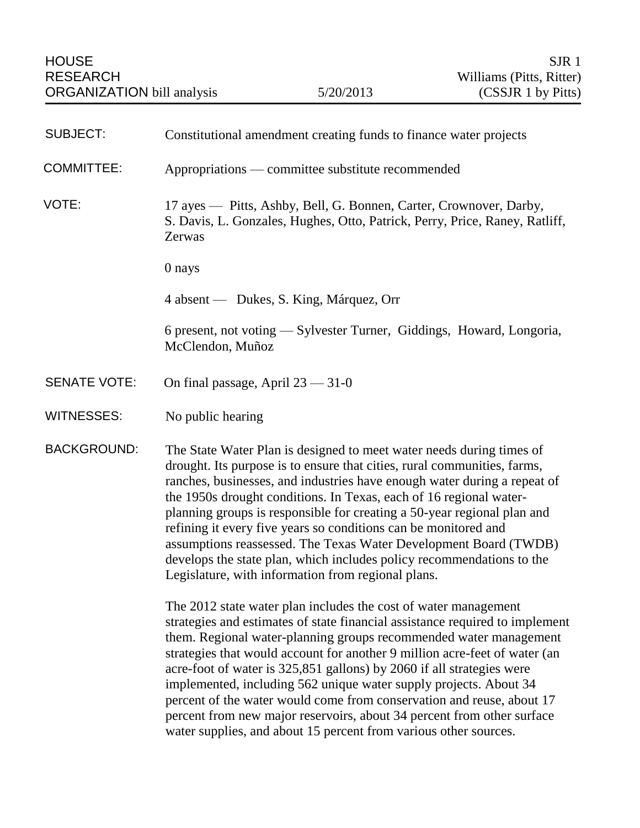| <b>SUBJECT:</b>     | Constitutional amendment creating funds to finance water projects                                                                                                                                                                                                                                                                                                                                                                                                                                                                                                                                                                                                       |
|---------------------|-------------------------------------------------------------------------------------------------------------------------------------------------------------------------------------------------------------------------------------------------------------------------------------------------------------------------------------------------------------------------------------------------------------------------------------------------------------------------------------------------------------------------------------------------------------------------------------------------------------------------------------------------------------------------|
| <b>COMMITTEE:</b>   | Appropriations — committee substitute recommended                                                                                                                                                                                                                                                                                                                                                                                                                                                                                                                                                                                                                       |
| VOTE:               | 17 ayes — Pitts, Ashby, Bell, G. Bonnen, Carter, Crownover, Darby,<br>S. Davis, L. Gonzales, Hughes, Otto, Patrick, Perry, Price, Raney, Ratliff,<br>Zerwas                                                                                                                                                                                                                                                                                                                                                                                                                                                                                                             |
|                     | 0 nays                                                                                                                                                                                                                                                                                                                                                                                                                                                                                                                                                                                                                                                                  |
|                     | 4 absent — Dukes, S. King, Márquez, Orr                                                                                                                                                                                                                                                                                                                                                                                                                                                                                                                                                                                                                                 |
|                     | 6 present, not voting - Sylvester Turner, Giddings, Howard, Longoria,<br>McClendon, Muñoz                                                                                                                                                                                                                                                                                                                                                                                                                                                                                                                                                                               |
| <b>SENATE VOTE:</b> | On final passage, April $23 - 31 - 0$                                                                                                                                                                                                                                                                                                                                                                                                                                                                                                                                                                                                                                   |
| <b>WITNESSES:</b>   | No public hearing                                                                                                                                                                                                                                                                                                                                                                                                                                                                                                                                                                                                                                                       |
| <b>BACKGROUND:</b>  | The State Water Plan is designed to meet water needs during times of<br>drought. Its purpose is to ensure that cities, rural communities, farms,<br>ranches, businesses, and industries have enough water during a repeat of<br>the 1950s drought conditions. In Texas, each of 16 regional water-<br>planning groups is responsible for creating a 50-year regional plan and<br>refining it every five years so conditions can be monitored and<br>assumptions reassessed. The Texas Water Development Board (TWDB)<br>develops the state plan, which includes policy recommendations to the<br>Legislature, with information from regional plans.                     |
|                     | The 2012 state water plan includes the cost of water management<br>strategies and estimates of state financial assistance required to implement<br>them. Regional water-planning groups recommended water management<br>strategies that would account for another 9 million acre-feet of water (an<br>acre-foot of water is 325,851 gallons) by 2060 if all strategies were<br>implemented, including 562 unique water supply projects. About 34<br>percent of the water would come from conservation and reuse, about 17<br>percent from new major reservoirs, about 34 percent from other surface<br>water supplies, and about 15 percent from various other sources. |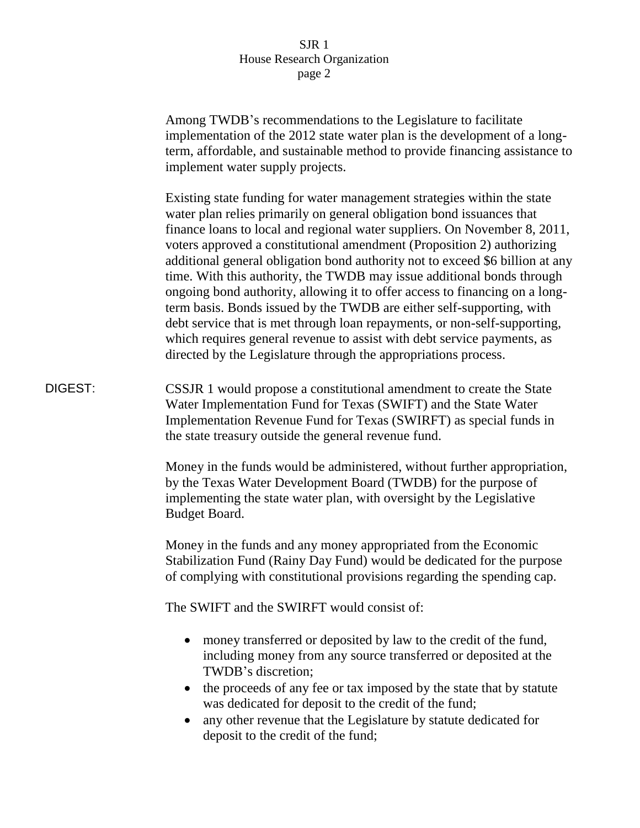Among TWDB's recommendations to the Legislature to facilitate implementation of the 2012 state water plan is the development of a longterm, affordable, and sustainable method to provide financing assistance to implement water supply projects.

Existing state funding for water management strategies within the state water plan relies primarily on general obligation bond issuances that finance loans to local and regional water suppliers. On November 8, 2011, voters approved a constitutional amendment (Proposition 2) authorizing additional general obligation bond authority not to exceed \$6 billion at any time. With this authority, the TWDB may issue additional bonds through ongoing bond authority, allowing it to offer access to financing on a longterm basis. Bonds issued by the TWDB are either self-supporting, with debt service that is met through loan repayments, or non-self-supporting, which requires general revenue to assist with debt service payments, as directed by the Legislature through the appropriations process.

DIGEST: CSSJR 1 would propose a constitutional amendment to create the State Water Implementation Fund for Texas (SWIFT) and the State Water Implementation Revenue Fund for Texas (SWIRFT) as special funds in the state treasury outside the general revenue fund.

> Money in the funds would be administered, without further appropriation, by the Texas Water Development Board (TWDB) for the purpose of implementing the state water plan, with oversight by the Legislative Budget Board.

> Money in the funds and any money appropriated from the Economic Stabilization Fund (Rainy Day Fund) would be dedicated for the purpose of complying with constitutional provisions regarding the spending cap.

The SWIFT and the SWIRFT would consist of:

- money transferred or deposited by law to the credit of the fund, including money from any source transferred or deposited at the TWDB's discretion;
- the proceeds of any fee or tax imposed by the state that by statute was dedicated for deposit to the credit of the fund;
- any other revenue that the Legislature by statute dedicated for deposit to the credit of the fund;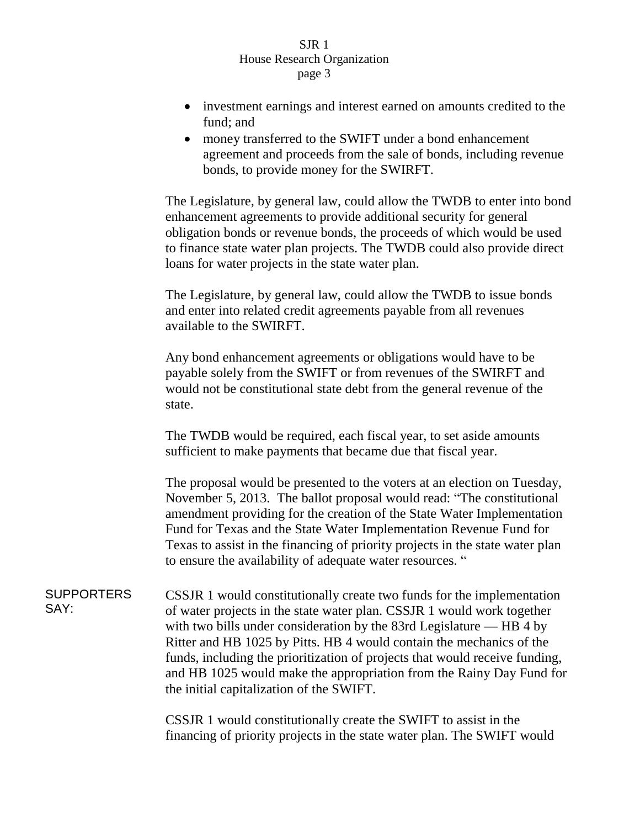- investment earnings and interest earned on amounts credited to the fund; and
- money transferred to the SWIFT under a bond enhancement agreement and proceeds from the sale of bonds, including revenue bonds, to provide money for the SWIRFT.

The Legislature, by general law, could allow the TWDB to enter into bond enhancement agreements to provide additional security for general obligation bonds or revenue bonds, the proceeds of which would be used to finance state water plan projects. The TWDB could also provide direct loans for water projects in the state water plan.

The Legislature, by general law, could allow the TWDB to issue bonds and enter into related credit agreements payable from all revenues available to the SWIRFT.

Any bond enhancement agreements or obligations would have to be payable solely from the SWIFT or from revenues of the SWIRFT and would not be constitutional state debt from the general revenue of the state.

The TWDB would be required, each fiscal year, to set aside amounts sufficient to make payments that became due that fiscal year.

The proposal would be presented to the voters at an election on Tuesday, November 5, 2013. The ballot proposal would read: "The constitutional amendment providing for the creation of the State Water Implementation Fund for Texas and the State Water Implementation Revenue Fund for Texas to assist in the financing of priority projects in the state water plan to ensure the availability of adequate water resources. "

**SUPPORTERS** SAY: CSSJR 1 would constitutionally create two funds for the implementation of water projects in the state water plan. CSSJR 1 would work together with two bills under consideration by the 83rd Legislature — HB 4 by Ritter and HB 1025 by Pitts. HB 4 would contain the mechanics of the funds, including the prioritization of projects that would receive funding, and HB 1025 would make the appropriation from the Rainy Day Fund for the initial capitalization of the SWIFT.

> CSSJR 1 would constitutionally create the SWIFT to assist in the financing of priority projects in the state water plan. The SWIFT would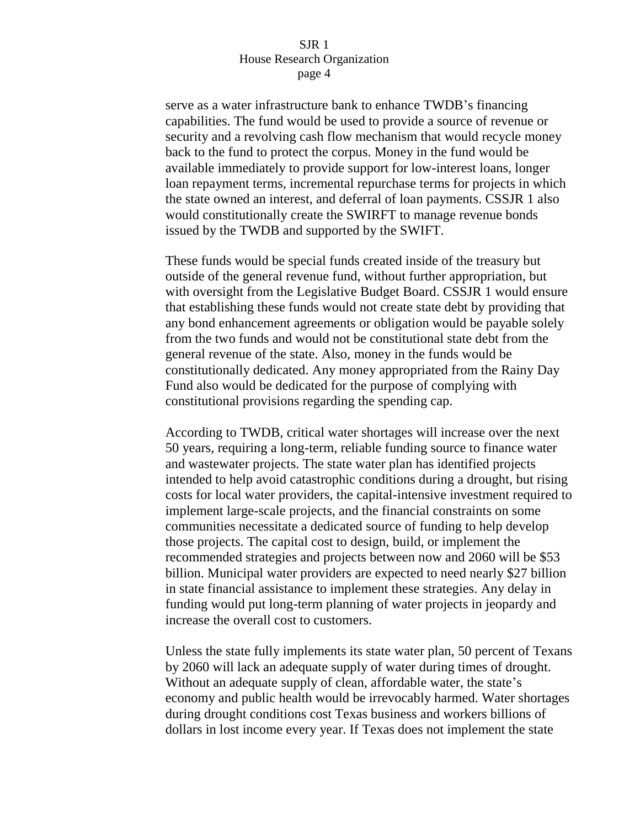serve as a water infrastructure bank to enhance TWDB's financing capabilities. The fund would be used to provide a source of revenue or security and a revolving cash flow mechanism that would recycle money back to the fund to protect the corpus. Money in the fund would be available immediately to provide support for low-interest loans, longer loan repayment terms, incremental repurchase terms for projects in which the state owned an interest, and deferral of loan payments. CSSJR 1 also would constitutionally create the SWIRFT to manage revenue bonds issued by the TWDB and supported by the SWIFT.

These funds would be special funds created inside of the treasury but outside of the general revenue fund, without further appropriation, but with oversight from the Legislative Budget Board. CSSJR 1 would ensure that establishing these funds would not create state debt by providing that any bond enhancement agreements or obligation would be payable solely from the two funds and would not be constitutional state debt from the general revenue of the state. Also, money in the funds would be constitutionally dedicated. Any money appropriated from the Rainy Day Fund also would be dedicated for the purpose of complying with constitutional provisions regarding the spending cap.

According to TWDB, critical water shortages will increase over the next 50 years, requiring a long-term, reliable funding source to finance water and wastewater projects. The state water plan has identified projects intended to help avoid catastrophic conditions during a drought, but rising costs for local water providers, the capital-intensive investment required to implement large-scale projects, and the financial constraints on some communities necessitate a dedicated source of funding to help develop those projects. The capital cost to design, build, or implement the recommended strategies and projects between now and 2060 will be \$53 billion. Municipal water providers are expected to need nearly \$27 billion in state financial assistance to implement these strategies. Any delay in funding would put long-term planning of water projects in jeopardy and increase the overall cost to customers.

Unless the state fully implements its state water plan, 50 percent of Texans by 2060 will lack an adequate supply of water during times of drought. Without an adequate supply of clean, affordable water, the state's economy and public health would be irrevocably harmed. Water shortages during drought conditions cost Texas business and workers billions of dollars in lost income every year. If Texas does not implement the state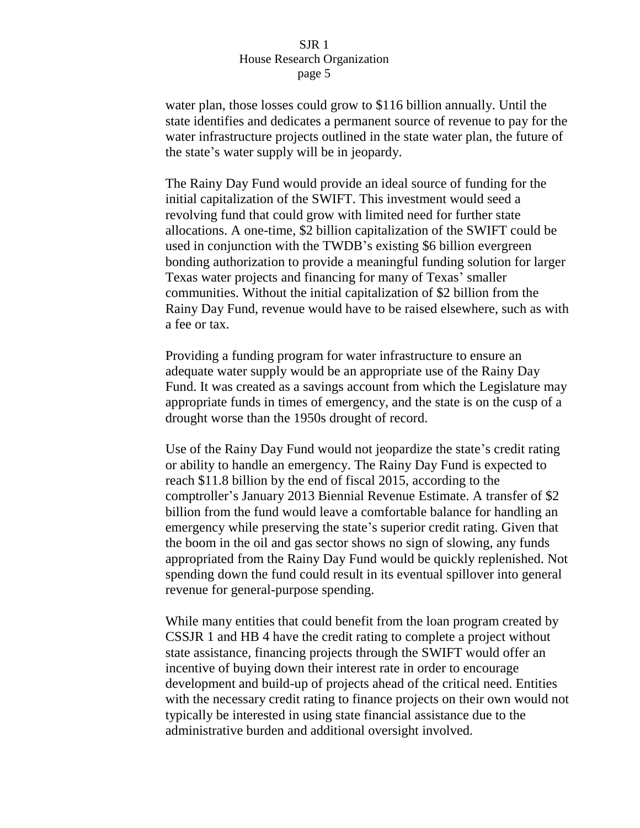water plan, those losses could grow to \$116 billion annually. Until the state identifies and dedicates a permanent source of revenue to pay for the water infrastructure projects outlined in the state water plan, the future of the state's water supply will be in jeopardy.

The Rainy Day Fund would provide an ideal source of funding for the initial capitalization of the SWIFT. This investment would seed a revolving fund that could grow with limited need for further state allocations. A one-time, \$2 billion capitalization of the SWIFT could be used in conjunction with the TWDB's existing \$6 billion evergreen bonding authorization to provide a meaningful funding solution for larger Texas water projects and financing for many of Texas' smaller communities. Without the initial capitalization of \$2 billion from the Rainy Day Fund, revenue would have to be raised elsewhere, such as with a fee or tax.

Providing a funding program for water infrastructure to ensure an adequate water supply would be an appropriate use of the Rainy Day Fund. It was created as a savings account from which the Legislature may appropriate funds in times of emergency, and the state is on the cusp of a drought worse than the 1950s drought of record.

Use of the Rainy Day Fund would not jeopardize the state's credit rating or ability to handle an emergency. The Rainy Day Fund is expected to reach \$11.8 billion by the end of fiscal 2015, according to the comptroller's January 2013 Biennial Revenue Estimate. A transfer of \$2 billion from the fund would leave a comfortable balance for handling an emergency while preserving the state's superior credit rating. Given that the boom in the oil and gas sector shows no sign of slowing, any funds appropriated from the Rainy Day Fund would be quickly replenished. Not spending down the fund could result in its eventual spillover into general revenue for general-purpose spending.

While many entities that could benefit from the loan program created by CSSJR 1 and HB 4 have the credit rating to complete a project without state assistance, financing projects through the SWIFT would offer an incentive of buying down their interest rate in order to encourage development and build-up of projects ahead of the critical need. Entities with the necessary credit rating to finance projects on their own would not typically be interested in using state financial assistance due to the administrative burden and additional oversight involved.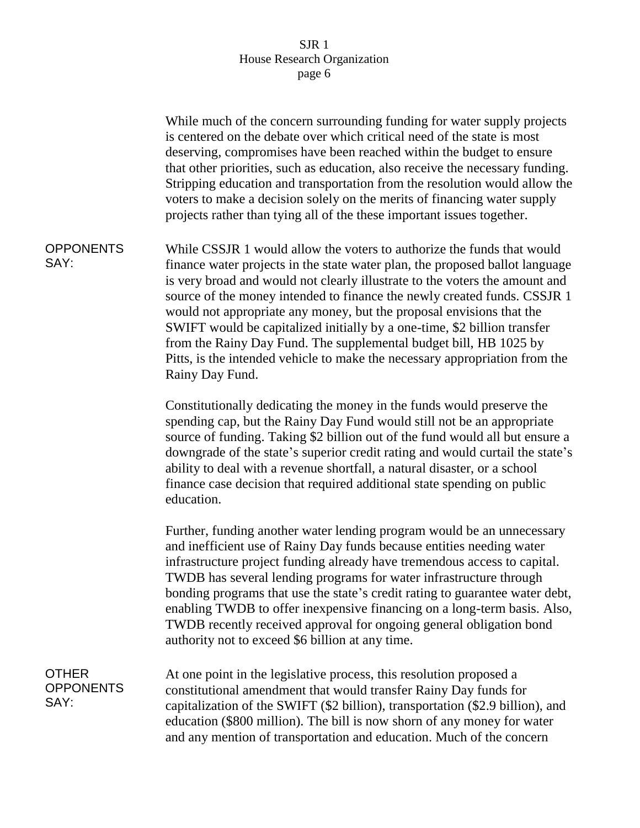|                                          | While much of the concern surrounding funding for water supply projects<br>is centered on the debate over which critical need of the state is most<br>deserving, compromises have been reached within the budget to ensure<br>that other priorities, such as education, also receive the necessary funding.<br>Stripping education and transportation from the resolution would allow the<br>voters to make a decision solely on the merits of financing water supply<br>projects rather than tying all of the these important issues together.                                                                                              |
|------------------------------------------|----------------------------------------------------------------------------------------------------------------------------------------------------------------------------------------------------------------------------------------------------------------------------------------------------------------------------------------------------------------------------------------------------------------------------------------------------------------------------------------------------------------------------------------------------------------------------------------------------------------------------------------------|
| <b>OPPONENTS</b><br>SAY:                 | While CSSJR 1 would allow the voters to authorize the funds that would<br>finance water projects in the state water plan, the proposed ballot language<br>is very broad and would not clearly illustrate to the voters the amount and<br>source of the money intended to finance the newly created funds. CSSJR 1<br>would not appropriate any money, but the proposal envisions that the<br>SWIFT would be capitalized initially by a one-time, \$2 billion transfer<br>from the Rainy Day Fund. The supplemental budget bill, HB 1025 by<br>Pitts, is the intended vehicle to make the necessary appropriation from the<br>Rainy Day Fund. |
|                                          | Constitutionally dedicating the money in the funds would preserve the<br>spending cap, but the Rainy Day Fund would still not be an appropriate<br>source of funding. Taking \$2 billion out of the fund would all but ensure a<br>downgrade of the state's superior credit rating and would curtail the state's<br>ability to deal with a revenue shortfall, a natural disaster, or a school<br>finance case decision that required additional state spending on public<br>education.                                                                                                                                                       |
|                                          | Further, funding another water lending program would be an unnecessary<br>and inefficient use of Rainy Day funds because entities needing water<br>infrastructure project funding already have tremendous access to capital.<br>TWDB has several lending programs for water infrastructure through<br>bonding programs that use the state's credit rating to guarantee water debt,<br>enabling TWDB to offer inexpensive financing on a long-term basis. Also,<br>TWDB recently received approval for ongoing general obligation bond<br>authority not to exceed \$6 billion at any time.                                                    |
| <b>OTHER</b><br><b>OPPONENTS</b><br>SAY: | At one point in the legislative process, this resolution proposed a<br>constitutional amendment that would transfer Rainy Day funds for<br>capitalization of the SWIFT (\$2 billion), transportation (\$2.9 billion), and<br>education (\$800 million). The bill is now shorn of any money for water<br>and any mention of transportation and education. Much of the concern                                                                                                                                                                                                                                                                 |